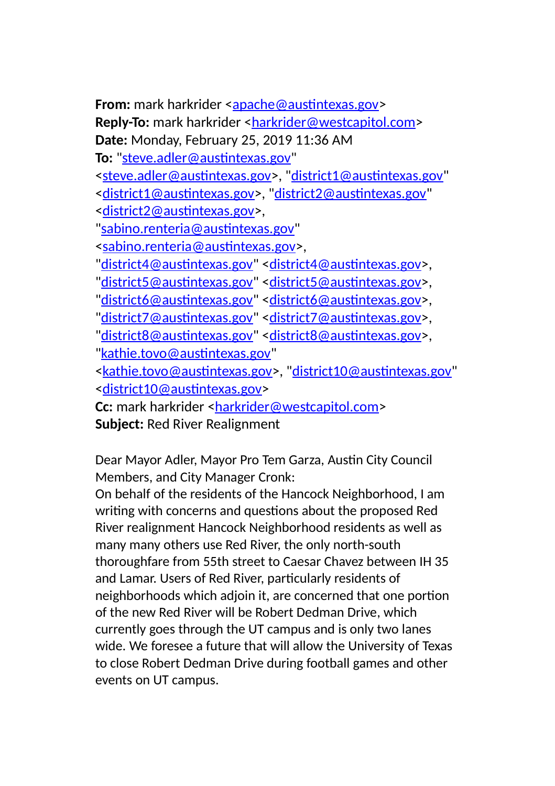**From:** mark harkrider [<apache@austintexas.gov>](mailto:apache@austintexas.gov) Reply-To: mark harkrider [<harkrider@westcapitol.com>](mailto:harkrider@westcapitol.com) **Date:** Monday, February 25, 2019 11:36 AM **To:** ["steve.adler@austintexas.gov"](mailto:steve.adler@austintexas.gov) [<steve.adler@austintexas.gov>](mailto:steve.adler@austintexas.gov), ["district1@austintexas.gov"](mailto:district1@austintexas.gov) [<district1@austintexas.gov>](mailto:district1@austintexas.gov), ["district2@austintexas.gov"](mailto:district2@austintexas.gov) [<district2@austintexas.gov>](mailto:district2@austintexas.gov), ["sabino.renteria@austintexas.gov"](mailto:sabino.renteria@austintexas.gov) [<sabino.renteria@austintexas.gov>](mailto:sabino.renteria@austintexas.gov), ["district4@austintexas.gov"](mailto:district4@austintexas.gov) [<district4@austintexas.gov>](mailto:district4@austintexas.gov). ["district5@austintexas.gov"](mailto:district5@austintexas.gov) [<district5@austintexas.gov>](mailto:district5@austintexas.gov), ["district6@austintexas.gov"](mailto:district6@austintexas.gov) [<district6@austintexas.gov>](mailto:district6@austintexas.gov), ["district7@austintexas.gov"](mailto:district7@austintexas.gov) [<district7@austintexas.gov>](mailto:district7@austintexas.gov), ["district8@austintexas.gov"](mailto:district8@austintexas.gov) [<district8@austintexas.gov>](mailto:district8@austintexas.gov), ["kathie.tovo@austintexas.gov"](mailto:kathie.tovo@austintexas.gov) [<kathie.tovo@austintexas.gov>](mailto:kathie.tovo@austintexas.gov), ["district10@austintexas.gov"](mailto:district10@austintexas.gov) [<district10@austintexas.gov>](mailto:district10@austintexas.gov) Cc: mark harkrider [<harkrider@westcapitol.com>](mailto:harkrider@westcapitol.com)

**Subject:** Red River Realignment

Dear Mayor Adler, Mayor Pro Tem Garza, Austin City Council Members, and City Manager Cronk:

On behalf of the residents of the Hancock Neighborhood, I am writing with concerns and questions about the proposed Red River realignment Hancock Neighborhood residents as well as many many others use Red River, the only north-south thoroughfare from 55th street to Caesar Chavez between IH 35 and Lamar. Users of Red River, particularly residents of neighborhoods which adjoin it, are concerned that one portion of the new Red River will be Robert Dedman Drive, which currently goes through the UT campus and is only two lanes wide. We foresee a future that will allow the University of Texas to close Robert Dedman Drive during football games and other events on UT campus.